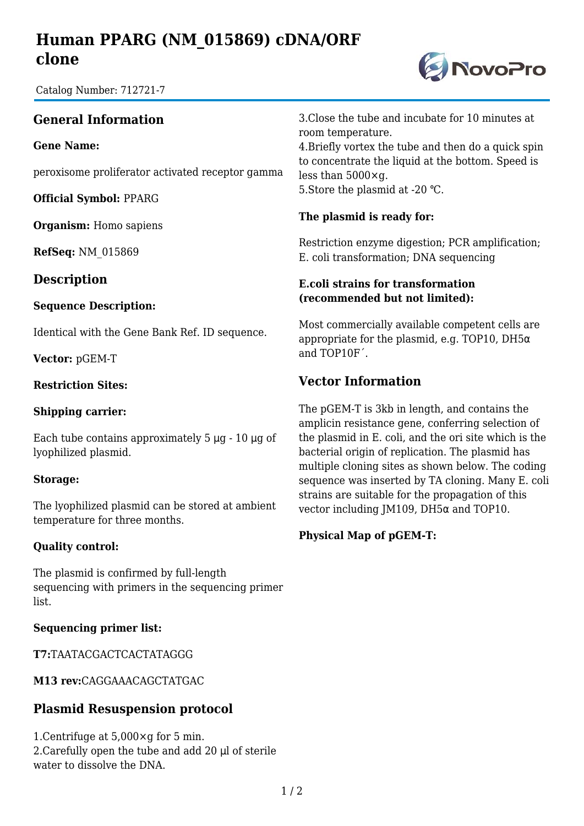# **Human PPARG (NM\_015869) cDNA/ORF clone**

Catalog Number: 712721-7

## **General Information**

**Gene Name:**

peroxisome proliferator activated receptor gamma

**Official Symbol:** PPARG

**Organism:** Homo sapiens

**RefSeq:** NM\_015869

### **Description**

#### **Sequence Description:**

Identical with the Gene Bank Ref. ID sequence.

**Vector:** pGEM-T

#### **Restriction Sites:**

#### **Shipping carrier:**

Each tube contains approximately  $5 \mu g - 10 \mu g$  of lyophilized plasmid.

#### **Storage:**

The lyophilized plasmid can be stored at ambient temperature for three months.

#### **Quality control:**

The plasmid is confirmed by full-length sequencing with primers in the sequencing primer list.

#### **Sequencing primer list:**

**T7:**TAATACGACTCACTATAGGG

**M13 rev:**CAGGAAACAGCTATGAC

## **Plasmid Resuspension protocol**

1.Centrifuge at 5,000×g for 5 min. 2.Carefully open the tube and add 20 μl of sterile water to dissolve the DNA.

3.Close the tube and incubate for 10 minutes at room temperature.

4.Briefly vortex the tube and then do a quick spin to concentrate the liquid at the bottom. Speed is less than 5000×g. 5. Store the plasmid at -20 °C.

#### **The plasmid is ready for:**

Restriction enzyme digestion; PCR amplification; E. coli transformation; DNA sequencing

#### **E.coli strains for transformation (recommended but not limited):**

Most commercially available competent cells are appropriate for the plasmid, e.g. TOP10, DH5 $\alpha$ and TOP10F´.

## **Vector Information**

The pGEM-T is 3kb in length, and contains the amplicin resistance gene, conferring selection of the plasmid in E. coli, and the ori site which is the bacterial origin of replication. The plasmid has multiple cloning sites as shown below. The coding sequence was inserted by TA cloning. Many E. coli strains are suitable for the propagation of this vector including JM109, DH5α and TOP10.

#### **Physical Map of pGEM-T:**